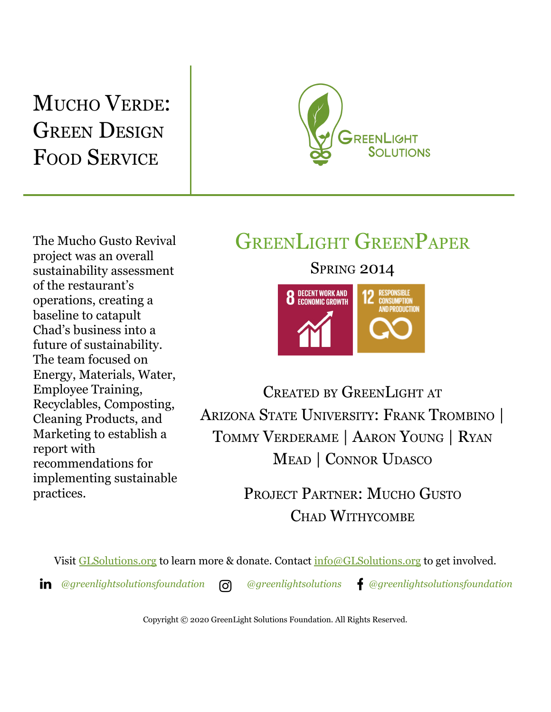## MUCHO VERDE: **GREEN DESIGN** FOOD SERVICE



The Mucho Gusto Revival project was an overall sustainability assessment of the restaurant's operations, creating a baseline to catapult Chad's business into a future of sustainability. The team focused on Energy, Materials, Water, Employee Training, Recyclables, Composting, Cleaning Products, and Marketing to establish a report with recommendations for implementing sustainable practices.

## GREENLIGHT GREENPAPER

**SPRING 2014** 



CREATED BY GREENLIGHT AT ARIZONA STATE UNIVERSITY: FRANK TROMBINO | TOMMY VERDERAME | AARON YOUNG | RYAN MEAD | CONNOR UDASCO

> PROJECT PARTNER: MUCHO GUSTO CHAD WITHYCOMBE

Visit [GLSolutions.org](https://www.glsolutions.org/) to learn more & donate. Contact  $\frac{info@GLSolutions.org}{info@GLSolutions.org}$  $\frac{info@GLSolutions.org}{info@GLSolutions.org}$  $\frac{info@GLSolutions.org}{info@GLSolutions.org}$  to get involved.

*[@greenlightsolutionsfoundation](https://www.linkedin.com/company/10571635) [@greenlightsolutions](https://www.instagram.com/greenlightsolutions/) [@greenlightsolutionsfoundation](https://www.facebook.com/GreenLightSolutionsFoundation/)*

Copyright © 2020 GreenLight Solutions Foundation. All Rights Reserved.